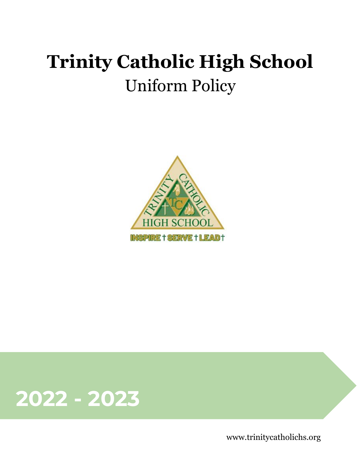# **Trinity Catholic High School** Uniform Policy





www.trinitycatholichs.org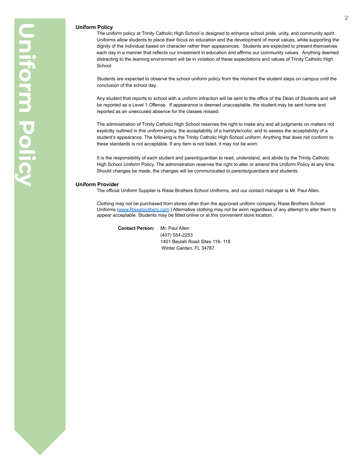# **Uniform Policy**

The uniform policy at Trinity Catholic High School is designed to enhance school pride, unity, and community spirit. Uniforms allow students to place their focus on education and the development of moral values, while supporting the dignity of the individual based on character rather than appearances. Students are expected to present themselves each day in a manner that reflects our investment in education and affirms our community values. Anything deemed distracting to the learning environment will be in violation of these expectations and values of Trinity Catholic High School.

Students are expected to observe the school uniform policy from the moment the student steps on campus until the conclusion of the school day.

Any student that reports to school with a uniform infraction will be sent to the office of the Dean of Students and will be reported as a Level 1 Offense. If appearance is deemed unacceptable, the student may be sent home and reported as an unexcused absence for the classes missed.

The administration of Trinity Catholic High School reserves the right to make any and all judgments on matters not explicitly outlined in this uniform policy, the acceptability of a hairstyle/color, and to assess the acceptability of a student's appearance. The following is the Trinity Catholic High School uniform. Anything that does not conform to these standards is not acceptable. If any item is not listed, it may not be worn.

It is the responsibility of each student and parent/guardian to read, understand, and abide by the Trinity Catholic High School Uniform Policy. The administration reserves the right to alter or amend this Uniform Policy at any time. Should changes be made, the changes will be communicated to parents/guardians and students.

## **Uniform Provider**

The official Uniform Supplier is Risse Brothers School Uniforms, and our contact manager is Mr. Paul Allen.

Clothing may not be purchased from stores other than the approved uniform company, Risse Brothers School Uniforms (www.Rissebrothers.com.) Alternative clothing may not be worn regardless of any attempt to alter them to appear acceptable. Students may be fitted online or at this convenient store location.

**Contact Person:** Mr. Paul Allen (407) 554-2253 1401 Beulah Road Sites 116- 118 Winter Garden, FL 34787.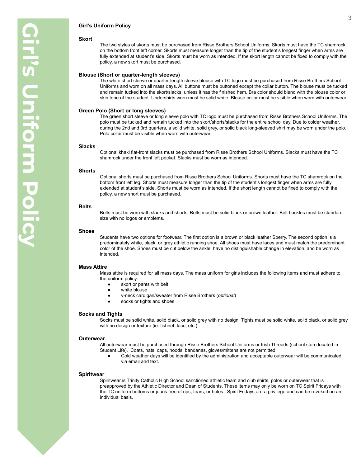# **Girl's Uniform Policy**

#### **Skort**

The two styles of skorts must be purchased from Risse Brothers School Uniforms. Skorts must have the TC shamrock on the bottom front left corner. Skorts must measure longer than the tip of the student's longest finger when arms are fully extended at student's side. Skorts must be worn as intended. If the skort length cannot be fixed to comply with the policy, a new skort must be purchased.

#### **Blouse (Short or quarter-length sleeves)**

The white short sleeve or quarter-length sleeve blouse with TC logo must be purchased from Risse Brothers School Uniforms and worn on all mass days. All buttons must be buttoned except the collar button. The blouse must be tucked and remain tucked into the skort/slacks, unless it has the finished hem. Bra color should blend with the blouse color or skin tone of the student. Undershirts worn must be solid white. Blouse collar must be visible when worn with outerwear.

# **Green Polo (Short or long sleeves)**

The green short sleeve or long sleeve polo with TC logo must be purchased from Risse Brothers School Uniforms. The polo must be tucked and remain tucked into the skort/shorts/slacks for the entire school day. Due to colder weather, during the 2nd and 3rd quarters, a solid white, solid grey, or solid black long-sleeved shirt may be worn under the polo. Polo collar must be visible when worn with outerwear.

#### **Slacks**

Optional khaki flat-front slacks must be purchased from Risse Brothers School Uniforms. Slacks must have the TC shamrock under the front left pocket. Slacks must be worn as intended.

# **Shorts**

Optional shorts must be purchased from Risse Brothers School Uniforms. Shorts must have the TC shamrock on the bottom front left leg. Shorts must measure longer than the tip of the student's longest finger when arms are fully extended at student's side. Shorts must be worn as intended. If the short length cannot be fixed to comply with the policy, a new short must be purchased.

# **Belts**

Belts must be worn with slacks and shorts. Belts must be solid black or brown leather. Belt buckles must be standard size with no logos or emblems.

#### **Shoes**

Students have two options for footwear. The first option is a brown or black leather Sperry. The second option is a predominately white, black, or grey athletic running shoe. All shoes must have laces and must match the predominant color of the shoe. Shoes must be cut below the ankle, have no distinguishable change in elevation, and be worn as intended.

# **Mass Attire**

Mass attire is required for all mass days. The mass uniform for girls includes the following items and must adhere to the uniform policy:

- skort or pants with belt
- white blouse
- v-neck cardigan/sweater from Risse Brothers (*optional*)
- socks or tights and shoes

# **Socks and Tights**

Socks must be solid white, solid black, or solid grey with no design. Tights must be solid white, solid black, or solid grey with no design or texture (ie. fishnet, lace, etc.).

#### **Outerwear**

All outerwear must be purchased through Risse Brothers School Uniforms or Irish Threads (school store located in Student Life). Coats, hats, caps, hoods, bandanas, gloves/mittens are not permitted.

Cold weather days will be identified by the administration and acceptable outerwear will be communicated via email and text.

#### **Spiritwear**

Spiritwear is Trinity Catholic High School sanctioned athletic team and club shirts, polos or outerwear that is preapproved by the Athletic Director and Dean of Students. These items may only be worn on TC Spirit Fridays with the TC uniform bottoms or jeans free of rips, tears, or holes. Spirit Fridays are a privilege and can be revoked on an individual basis.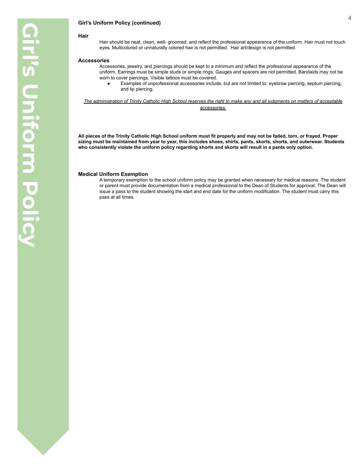# **Girl's Uniform Policy (continued)**

# **Hair**

Hair should be neat, clean, well- groomed, and reflect the professional appearance of the uniform. Hair must not touch eyes. Multicolored or unnaturally colored hair is not permitted. Hair art/design is not permitted.

#### **Accessories**

- Accessories, jewelry, and piercings should be kept to a minimum and reflect the professional appearance of the uniform. Earrings must be simple studs or simple rings. Gauges and spacers are not permitted. Bandaids may not be worn to cover piercings. Visible tattoos must be covered.
	- Examples of unprofessional accessories include, but are not limited to: eyebrow piercing, septum piercing, and lip piercing.

*The administration of Trinity Catholic High School reserves the right to make any and all judgments on matters of acceptable accessories.*

**All pieces of the Trinity Catholic High School uniform must fit properly and may not be faded, torn, or frayed. Proper sizing must be maintained from year to year, this includes shoes, shirts, pants, skorts, shorts, and outerwear. Students who consistently violate the uniform policy regarding shorts and skorts will result in a pants only option.**

# **Medical Uniform Exemption**

A temporary exemption to the school uniform policy may be granted when necessary for medical reasons. The student or parent must provide documentation from a medical professional to the Dean of Students for approval. The Dean will issue a pass to the student showing the start and end date for the uniform modification. The student must carry this pass at all times.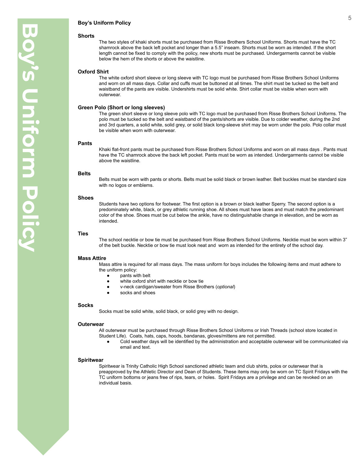# **Boy's Uniform Policy**

#### **Shorts**

The two styles of khaki shorts must be purchased from Risse Brothers School Uniforms. Shorts must have the TC shamrock above the back left pocket and longer than a 5.5" inseam. Shorts must be worn as intended. If the short length cannot be fixed to comply with the policy, new shorts must be purchased. Undergarments cannot be visible below the hem of the shorts or above the waistline.

# **Oxford Shirt**

The white oxford short sleeve or long sleeve with TC logo must be purchased from Risse Brothers School Uniforms and worn on all mass days. Collar and cuffs must be buttoned at all times. The shirt must be tucked so the belt and waistband of the pants are visible. Undershirts must be solid white. Shirt collar must be visible when worn with outerwear.

# **Green Polo (Short or long sleeves)**

The green short sleeve or long sleeve polo with TC logo must be purchased from Risse Brothers School Uniforms. The polo must be tucked so the belt and waistband of the pants/shorts are visible. Due to colder weather, during the 2nd and 3rd quarters, a solid white, solid grey, or solid black long-sleeve shirt may be worn under the polo. Polo collar must be visible when worn with outerwear.

# **Pants**

Khaki flat-front pants must be purchased from Risse Brothers School Uniforms and worn on all mass days . Pants must have the TC shamrock above the back left pocket. Pants must be worn as intended. Undergarments cannot be visible above the waistline.

#### **Belts**

Belts must be worn with pants or shorts. Belts must be solid black or brown leather. Belt buckles must be standard size with no logos or emblems.

### **Shoes**

Students have two options for footwear. The first option is a brown or black leather Sperry. The second option is a predominately white, black, or grey athletic running shoe. All shoes must have laces and must match the predominant color of the shoe. Shoes must be cut below the ankle, have no distinguishable change in elevation, and be worn as intended.

#### **Ties**

The school necktie or bow tie must be purchased from Risse Brothers School Uniforms. Necktie must be worn within 3" of the belt buckle. Necktie or bow tie must look neat and worn as intended for the entirety of the school day.

#### **Mass Attire**

Mass attire is required for all mass days. The mass uniform for boys includes the following items and must adhere to the uniform policy:

- pants with belt
- white oxford shirt with necktie or bow tie
- v-neck cardigan/sweater from Risse Brothers (*optional*)
- socks and shoes

#### **Socks**

Socks must be solid white, solid black, or solid grey with no design.

# **Outerwear**

All outerwear must be purchased through Risse Brothers School Uniforms or Irish Threads (school store located in Student Life). Coats, hats, caps, hoods, bandanas, gloves/mittens are not permitted.

Cold weather days will be identified by the administration and acceptable outerwear will be communicated via email and text.

# **Spiritwear**

Spiritwear is Trinity Catholic High School sanctioned athletic team and club shirts, polos or outerwear that is preapproved by the Athletic Director and Dean of Students. These items may only be worn on TC Spirit Fridays with the TC uniform bottoms or jeans free of rips, tears, or holes. Spirit Fridays are a privilege and can be revoked on an individual basis.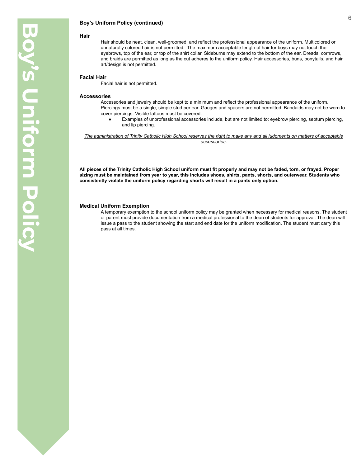# **Boy's Uniform Policy (continued)**

#### **Hair**

Hair should be neat, clean, well-groomed, and reflect the professional appearance of the uniform. Multicolored or unnaturally colored hair is not permitted. The maximum acceptable length of hair for boys may not touch the eyebrows, top of the ear, or top of the shirt collar. Sideburns may extend to the bottom of the ear. Dreads, cornrows, and braids are permitted as long as the cut adheres to the uniform policy. Hair accessories, buns, ponytails, and hair art/design is not permitted.

#### **Facial Hair**

Facial hair is not permitted.

#### **Accessories**

Accessories and jewelry should be kept to a minimum and reflect the professional appearance of the uniform. Piercings must be a single, simple stud per ear. Gauges and spacers are not permitted. Bandaids may not be worn to cover piercings. Visible tattoos must be covered.

Examples of unprofessional accessories include, but are not limited to: eyebrow piercing, septum piercing, and lip piercing.

*The administration of Trinity Catholic High School reserves the right to make any and all judgments on matters of acceptable accessories.*

**All pieces of the Trinity Catholic High School uniform must fit properly and may not be faded, torn, or frayed. Proper sizing must be maintained from year to year, this includes shoes, shirts, pants, shorts, and outerwear. Students who consistently violate the uniform policy regarding shorts will result in a pants only option.**

# **Medical Uniform Exemption**

A temporary exemption to the school uniform policy may be granted when necessary for medical reasons. The student or parent must provide documentation from a medical professional to the dean of students for approval. The dean will issue a pass to the student showing the start and end date for the uniform modification. The student must carry this pass at all times.